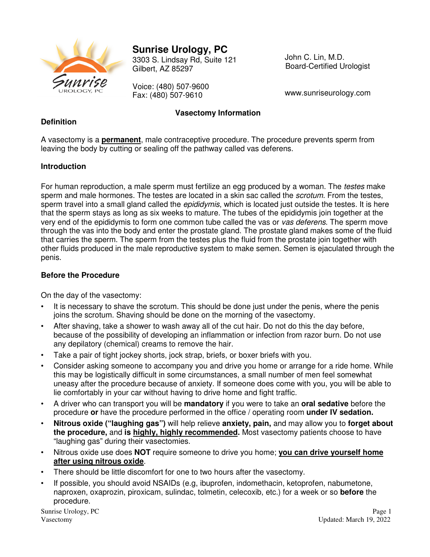

# **Sunrise Urology, PC**

3303 S. Lindsay Rd, Suite 121 Gilbert, AZ 85297

Voice: (480) 507-9600 Fax: (480) 507-9610

John C. Lin, M.D. Board-Certified Urologist

www.sunriseurology.com

## **Vasectomy Information**

#### **Definition**

A vasectomy is a **permanent**, male contraceptive procedure. The procedure prevents sperm from leaving the body by cutting or sealing off the pathway called vas deferens.

#### **Introduction**

For human reproduction, a male sperm must fertilize an egg produced by a woman. The testes make sperm and male hormones. The testes are located in a skin sac called the *scrotum*. From the testes, sperm travel into a small gland called the *epididymis*, which is located just outside the testes. It is here that the sperm stays as long as six weeks to mature. The tubes of the epididymis join together at the very end of the epididymis to form one common tube called the vas or vas deferens. The sperm move through the vas into the body and enter the prostate gland. The prostate gland makes some of the fluid that carries the sperm. The sperm from the testes plus the fluid from the prostate join together with other fluids produced in the male reproductive system to make semen. Semen is ejaculated through the penis.

### **Before the Procedure**

On the day of the vasectomy:

- It is necessary to shave the scrotum. This should be done just under the penis, where the penis joins the scrotum. Shaving should be done on the morning of the vasectomy.
- After shaving, take a shower to wash away all of the cut hair. Do not do this the day before, because of the possibility of developing an inflammation or infection from razor burn. Do not use any depilatory (chemical) creams to remove the hair.
- Take a pair of tight jockey shorts, jock strap, briefs, or boxer briefs with you.
- Consider asking someone to accompany you and drive you home or arrange for a ride home. While this may be logistically difficult in some circumstances, a small number of men feel somewhat uneasy after the procedure because of anxiety. If someone does come with you, you will be able to lie comfortably in your car without having to drive home and fight traffic.
- A driver who can transport you will be **mandatory** if you were to take an **oral sedative** before the procedure **or** have the procedure performed in the office / operating room **under IV sedation.**
- **Nitrous oxide ("laughing gas")** will help relieve **anxiety, pain,** and may allow you to **forget about the procedure,** and **is highly, highly recommended.** Most vasectomy patients choose to have "laughing gas" during their vasectomies.
- Nitrous oxide use does **NOT** require someone to drive you home; **you can drive yourself home after using nitrous oxide**.
- There should be little discomfort for one to two hours after the vasectomy.
- If possible, you should avoid NSAIDs (e.g, ibuprofen, indomethacin, ketoprofen, nabumetone, naproxen, oxaprozin, piroxicam, sulindac, tolmetin, celecoxib, etc.) for a week or so **before** the procedure.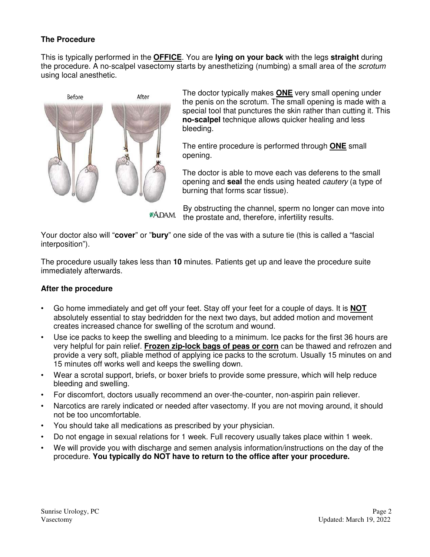## **The Procedure**

This is typically performed in the **OFFICE**. You are **lying on your back** with the legs **straight** during the procedure. A no-scalpel vasectomy starts by anesthetizing (numbing) a small area of the scrotum using local anesthetic.



The doctor typically makes **ONE** very small opening under the penis on the scrotum. The small opening is made with a special tool that punctures the skin rather than cutting it. This **no-scalpel** technique allows quicker healing and less bleeding.

The entire procedure is performed through **ONE** small opening.

The doctor is able to move each vas deferens to the small opening and **seal** the ends using heated cautery (a type of burning that forms scar tissue).

By obstructing the channel, sperm no longer can move into \*ADAM. the prostate and, therefore, infertility results.

Your doctor also will "**cover**" or "**bury**" one side of the vas with a suture tie (this is called a "fascial interposition").

The procedure usually takes less than **10** minutes. Patients get up and leave the procedure suite immediately afterwards.

#### **After the procedure**

- Go home immediately and get off your feet. Stay off your feet for a couple of days. It is **NOT** absolutely essential to stay bedridden for the next two days, but added motion and movement creates increased chance for swelling of the scrotum and wound.
- Use ice packs to keep the swelling and bleeding to a minimum. Ice packs for the first 36 hours are very helpful for pain relief. **Frozen zip-lock bags of peas or corn** can be thawed and refrozen and provide a very soft, pliable method of applying ice packs to the scrotum. Usually 15 minutes on and 15 minutes off works well and keeps the swelling down.
- Wear a scrotal support, briefs, or boxer briefs to provide some pressure, which will help reduce bleeding and swelling.
- For discomfort, doctors usually recommend an over-the-counter, non-aspirin pain reliever.
- Narcotics are rarely indicated or needed after vasectomy. If you are not moving around, it should not be too uncomfortable.
- You should take all medications as prescribed by your physician.
- Do not engage in sexual relations for 1 week. Full recovery usually takes place within 1 week.
- We will provide you with discharge and semen analysis information/instructions on the day of the procedure. **You typically do NOT have to return to the office after your procedure.**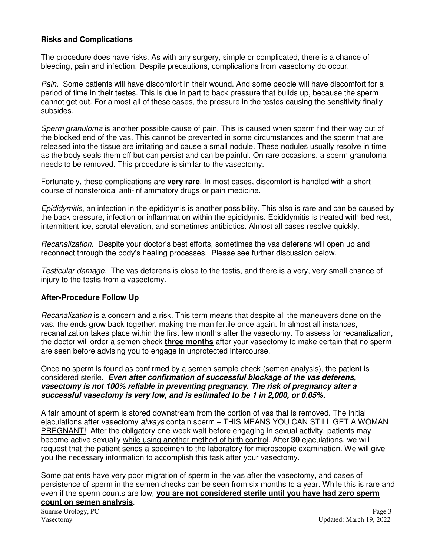#### **Risks and Complications**

The procedure does have risks. As with any surgery, simple or complicated, there is a chance of bleeding, pain and infection. Despite precautions, complications from vasectomy do occur.

Pain. Some patients will have discomfort in their wound. And some people will have discomfort for a period of time in their testes. This is due in part to back pressure that builds up, because the sperm cannot get out. For almost all of these cases, the pressure in the testes causing the sensitivity finally subsides.

Sperm granuloma is another possible cause of pain. This is caused when sperm find their way out of the blocked end of the vas. This cannot be prevented in some circumstances and the sperm that are released into the tissue are irritating and cause a small nodule. These nodules usually resolve in time as the body seals them off but can persist and can be painful. On rare occasions, a sperm granuloma needs to be removed. This procedure is similar to the vasectomy.

Fortunately, these complications are **very rare**. In most cases, discomfort is handled with a short course of nonsteroidal anti-inflammatory drugs or pain medicine.

Epididymitis, an infection in the epididymis is another possibility. This also is rare and can be caused by the back pressure, infection or inflammation within the epididymis. Epididymitis is treated with bed rest, intermittent ice, scrotal elevation, and sometimes antibiotics. Almost all cases resolve quickly.

Recanalization. Despite your doctor's best efforts, sometimes the vas deferens will open up and reconnect through the body's healing processes. Please see further discussion below.

Testicular damage. The vas deferens is close to the testis, and there is a very, very small chance of injury to the testis from a vasectomy.

#### **After-Procedure Follow Up**

Recanalization is a concern and a risk. This term means that despite all the maneuvers done on the vas, the ends grow back together, making the man fertile once again. In almost all instances, recanalization takes place within the first few months after the vasectomy. To assess for recanalization, the doctor will order a semen check **three months** after your vasectomy to make certain that no sperm are seen before advising you to engage in unprotected intercourse.

Once no sperm is found as confirmed by a semen sample check (semen analysis), the patient is considered sterile. **Even after confirmation of successful blockage of the vas deferens, vasectomy is not 100% reliable in preventing pregnancy. The risk of pregnancy after a successful vasectomy is very low, and is estimated to be 1 in 2,000, or 0.05%.**

A fair amount of sperm is stored downstream from the portion of vas that is removed. The initial ejaculations after vasectomy always contain sperm - THIS MEANS YOU CAN STILL GET A WOMAN PREGNANT! After the obligatory one-week wait before engaging in sexual activity, patients may become active sexually while using another method of birth control. After **30** ejaculations, we will request that the patient sends a specimen to the laboratory for microscopic examination. We will give you the necessary information to accomplish this task after your vasectomy.

Some patients have very poor migration of sperm in the vas after the vasectomy, and cases of persistence of sperm in the semen checks can be seen from six months to a year. While this is rare and even if the sperm counts are low, **you are not considered sterile until you have had zero sperm count on semen analysis**.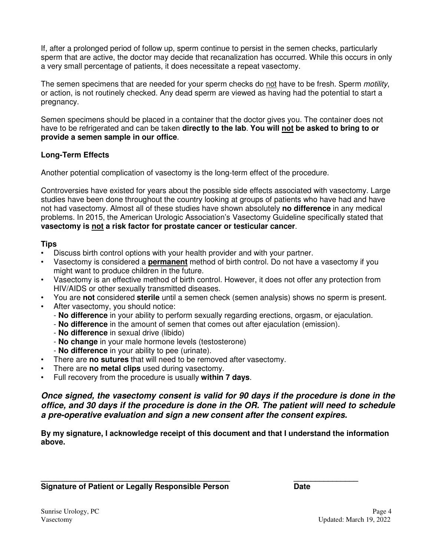If, after a prolonged period of follow up, sperm continue to persist in the semen checks, particularly sperm that are active, the doctor may decide that recanalization has occurred. While this occurs in only a very small percentage of patients, it does necessitate a repeat vasectomy.

The semen specimens that are needed for your sperm checks do not have to be fresh. Sperm motility, or action, is not routinely checked. Any dead sperm are viewed as having had the potential to start a pregnancy.

Semen specimens should be placed in a container that the doctor gives you. The container does not have to be refrigerated and can be taken **directly to the lab**. **You will not be asked to bring to or provide a semen sample in our office**.

## **Long-Term Effects**

Another potential complication of vasectomy is the long-term effect of the procedure.

Controversies have existed for years about the possible side effects associated with vasectomy. Large studies have been done throughout the country looking at groups of patients who have had and have not had vasectomy. Almost all of these studies have shown absolutely **no difference** in any medical problems. In 2015, the American Urologic Association's Vasectomy Guideline specifically stated that **vasectomy is not a risk factor for prostate cancer or testicular cancer**.

#### **Tips**

- Discuss birth control options with your health provider and with your partner.
- Vasectomy is considered a **permanent** method of birth control. Do not have a vasectomy if you might want to produce children in the future.
- Vasectomy is an effective method of birth control. However, it does not offer any protection from HIV/AIDS or other sexually transmitted diseases.
- You are **not** considered **sterile** until a semen check (semen analysis) shows no sperm is present.
- After vasectomy, you should notice:
	- **No difference** in your ability to perform sexually regarding erections, orgasm, or ejaculation.
	- **No difference** in the amount of semen that comes out after ejaculation (emission).
	- **No difference** in sexual drive (libido)
	- **No change** in your male hormone levels (testosterone)
	- **No difference** in your ability to pee (urinate).
- There are **no sutures** that will need to be removed after vasectomy.
- There are **no metal clips** used during vasectomy.
- Full recovery from the procedure is usually **within 7 days**.

**Once signed, the vasectomy consent is valid for 90 days if the procedure is done in the office, and 30 days if the procedure is done in the OR. The patient will need to schedule a pre-operative evaluation and sign a new consent after the consent expires.**

**By my signature, I acknowledge receipt of this document and that I understand the information above.** 

**\_\_\_\_\_\_\_\_\_\_\_\_\_\_\_\_\_\_\_\_\_\_\_\_\_\_\_\_\_\_\_\_\_\_\_\_\_\_\_\_\_\_\_\_ \_\_\_\_\_\_\_\_\_\_\_\_\_\_\_ Signature of Patient or Legally Responsible Person Date**